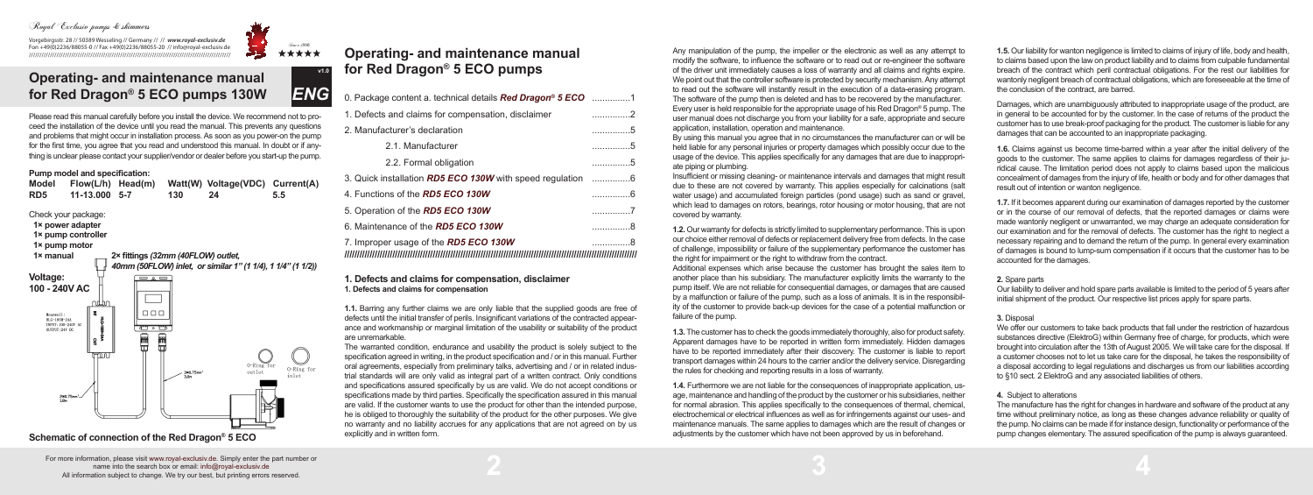## Royal Exclusiv pumps & skimmers

Vorgebirgsstr. 28 // 50389 Wesseling // Germany // // *www.royal-exclusiv.de* Fon +49(0)2236/88055-0 // Fax +49(0)2236/88055-20 // info@royal-exclusiv.de ///////////////////////////////////////////////////////////////////////////////////////////////

# 製  $3.4444$

Any manipulation of the pump, the impeller or the electronic as well as any attempt to modify the software, to influence the software or to read out or re-engineer the software of the driver unit immediately causes a loss of warranty and all claims and rights expire. We point out that the controller software is protected by security mechanism. Any attempt to read out the software will instantly result in the execution of a data-erasing program. The software of the pump then is deleted and has to be recovered by the manufacturer. Every user is held responsible for the appropriate usage of his Red Dragon® 5 pump. The user manual does not discharge you from your liability for a safe, appropriate and secure application, installation, operation and maintenance.

By using this manual you agree that in no circumstances the manufacturer can or will be held liable for any personal injuries or property damages which possibly occur due to the usage of the device. This applies specifically for any damages that are due to inappropriate piping or plumbing.

Insufficient or missing cleaning- or maintenance intervals and damages that might result due to these are not covered by warranty. This applies especially for calcinations (salt water usage) and accumulated foreign particles (pond usage) such as sand or gravel. which lead to damages on rotors, bearings, rotor housing or motor housing, that are not covered by warranty.

**1.2.** Our warranty for defects is strictly limited to supplementary performance. This is upon our choice either removal of defects or replacement delivery free from defects. In the case of challenge, impossibility or failure of the supplementary performance the customer has the right for impairment or the right to withdraw from the contract.

Additional expenses which arise because the customer has brought the sales item to another place than his subsidiary. The manufacturer explicitly limits the warranty to the pump itself. We are not reliable for consequential damages, or damages that are caused by a malfunction or failure of the pump, such as a loss of animals. It is in the responsibility of the customer to provide back-up devices for the case of a potential malfunction or failure of the pump.

**1.3.** The customer has to check the goods immediately thoroughly, also for product safety. Apparent damages have to be reported in written form immediately. Hidden damages have to be reported immediately after their discovery. The customer is liable to report transport damages within 24 hours to the carrier and/or the delivery service. Disregarding the rules for checking and reporting results in a loss of warranty.

**1.4.** Furthermore we are not liable for the consequences of inappropriate application, usage, maintenance and handling of the product by the customer or his subsidiaries, neither for normal abrasion. This applies specifically to the consequences of thermal, chemical, electrochemical or electrical influences as well as for infringements against our uses- and maintenance manuals. The same applies to damages which are the result of changes or adjustments by the customer which have not been approved by us in beforehand.

**2 3 4**

Please read this manual carefully before you install the device. We recommend not to proceed the installation of the device until you read the manual. This prevents any questions and problems that might occur in installation process. As soon as you power-on the pump for the first time, you agree that you read and understood this manual. In doubt or if anything is unclear please contact your supplier/vendor or dealer before you start-up the pump.

### **Pump model and specification:**

# **Operating- and maintenance manual for Red Dragon® 5 ECO pumps**

The manufacture has the right for changes in hardware and software of the product at any time without preliminary notice, as long as these changes advance reliability or quality of the pump. No claims can be made if for instance design, functionality or performance of the pump changes elementary. The assured specification of the pump is always guaranteed.

| 0. Package content a. technical details <b>Red Dragon<sup>®</sup> 5 ECO</b> 1 |     |
|-------------------------------------------------------------------------------|-----|
| 1. Defects and claims for compensation, disclaimer                            | . 2 |
| 2. Manufacturer's declaration                                                 | . 5 |
| 2.1. Manufacturer                                                             | . 5 |
| 2.2. Formal obligation                                                        | . 5 |
| 3. Quick installation <b>RD5 ECO 130W</b> with speed requiation 6             |     |
| 4. Functions of the <b>RD5 ECO 130W</b>                                       | . 6 |
| 5. Operation of the RD5 ECO 130W                                              | . 7 |
| 6. Maintenance of the RD5 ECO 130W                                            | . 8 |
| 7. Improper usage of the <b>RD5 ECO 130W</b>                                  | . 8 |
|                                                                               |     |

#### **1. Defects and claims for compensation, disclaimer 1. Defects and claims for compensation**

**1.1.** Barring any further claims we are only liable that the supplied goods are free of defects until the initial transfer of perils. Insignificant variations of the contracted appearance and workmanship or marginal limitation of the usability or suitability of the product are unremarkable.



**Schematic of connection of the Red Dragon® 5 ECO** 

The warranted condition, endurance and usability the product is solely subject to the specification agreed in writing, in the product specification and / or in this manual. Further oral agreements, especially from preliminary talks, advertising and / or in related industrial standards will are only valid as integral part of a written contract. Only conditions and specifications assured specifically by us are valid. We do not accept conditions or specifications made by third parties. Specifically the specification assured in this manual are valid. If the customer wants to use the product for other than the intended purpose, he is obliged to thoroughly the suitability of the product for the other purposes. We give no warranty and no liability accrues for any applications that are not agreed on by us explicitly and in written form.

# **Operating- and maintenance manual for Red Dragon® 5 ECO pumps 130W**

**1.5.** Our liability for wanton negligence is limited to claims of injury of life, body and health, to claims based upon the law on product liability and to claims from culpable fundamental breach of the contract which peril contractual obligations. For the rest our liabilities for wantonly negligent breach of contractual obligations, which are foreseeable at the time of the conclusion of the contract, are barred.

Damages, which are unambiguously attributed to inappropriate usage of the product, are in general to be accounted for by the customer. In the case of returns of the product the customer has to use break-proof packaging for the product. The customer is liable for any damages that can be accounted to an inappropriate packaging.

**1.6.** Claims against us become time-barred within a year after the initial delivery of the goods to the customer. The same applies to claims for damages regardless of their juridical cause. The limitation period does not apply to claims based upon the malicious concealment of damages from the injury of life, health or body and for other damages that result out of intention or wanton negligence.

**1.7.** If it becomes apparent during our examination of damages reported by the customer or in the course of our removal of defects, that the reported damages or claims were made wantonly negligent or unwarranted, we may charge an adequate consideration for our examination and for the removal of defects. The customer has the right to neglect a necessary repairing and to demand the return of the pump. In general every examination of damages is bound to lump-sum compensation if it occurs that the customer has to be accounted for the damages.

**2.** Spare parts

Our liability to deliver and hold spare parts available is limited to the period of 5 years after initial shipment of the product. Our respective list prices apply for spare parts.

**3.** Disposal We offer our customers to take back products that fall under the restriction of hazardous substances directive (ElektroG) within Germany free of charge, for products, which were brought into circulation after the 13th of August 2005. We will take care for the disposal. If a customer chooses not to let us take care for the disposal, he takes the responsibility of a disposal according to legal regulations and discharges us from our liabilities according to §10 sect. 2 ElektroG and any associated liabilities of others.

#### **4.** Subject to alterations

For more information, please visit www.royal-exclusiv.de. Simply enter the part number or name into the search box or email: info@royal-exclusiv.de All information subject to change. We try our best, but printing errors reserved.

*ENG*